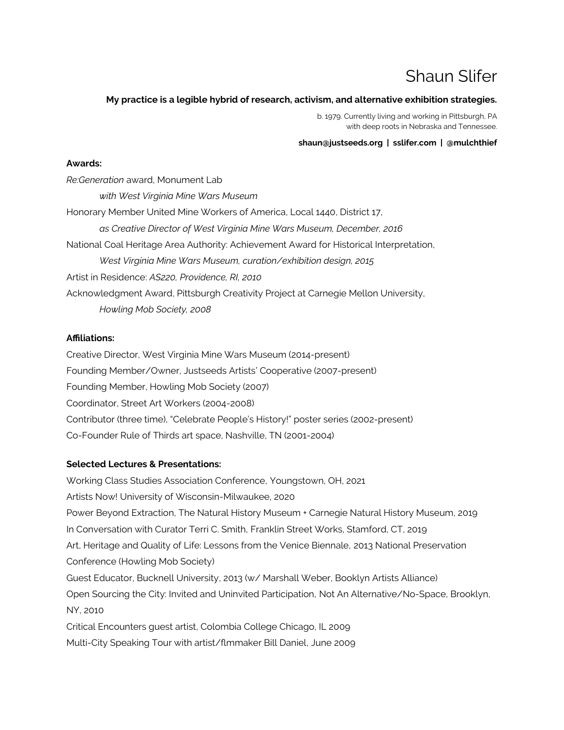# Shaun Slifer

# **My practice is a legible hybrid of research, activism, and alternative exhibition strategies.**

b. 1979. Currently living and working in Pittsburgh, PA with deep roots in Nebraska and Tennessee.

#### **shaun@justseeds.org | sslifer.com | @mulchthief**

#### **Awards:**

*Re:Generation* award, Monument Lab *with West Virginia Mine Wars Museum* Honorary Member United Mine Workers of America, Local 1440, District 17, *as Creative Director of West Virginia Mine Wars Museum, December, 2016* National Coal Heritage Area Authority: Achievement Award for Historical Interpretation, *West Virginia Mine Wars Museum, curation/exhibition design, 2015* Artist in Residence: *AS220, Providence, RI, 2010* Acknowledgment Award, Pittsburgh Creativity Project at Carnegie Mellon University, *Howling Mob Society, 2008*

# **Afliations:**

Creative Director, West Virginia Mine Wars Museum (2014-present) Founding Member/Owner, Justseeds Artists' Cooperative (2007-present) Founding Member, Howling Mob Society (2007) Coordinator, Street Art Workers (2004-2008) Contributor (three time), "Celebrate People's History!" poster series (2002-present) Co-Founder Rule of Thirds art space, Nashville, TN (2001-2004)

# **Selected Lectures & Presentations:**

Working Class Studies Association Conference, Youngstown, OH, 2021 Artists Now! University of Wisconsin-Milwaukee, 2020 Power Beyond Extraction, The Natural History Museum + Carnegie Natural History Museum, 2019 In Conversation with Curator Terri C. Smith, Franklin Street Works, Stamford, CT, 2019 Art, Heritage and Quality of Life: Lessons from the Venice Biennale, 2013 National Preservation Conference (Howling Mob Society) Guest Educator, Bucknell University, 2013 (w/ Marshall Weber, Booklyn Artists Alliance) Open Sourcing the City: Invited and Uninvited Participation, Not An Alternative/No-Space, Brooklyn, NY, 2010 Critical Encounters guest artist, Colombia College Chicago, IL 2009 Multi-City Speaking Tour with artist/fmmaker Bill Daniel, June 2009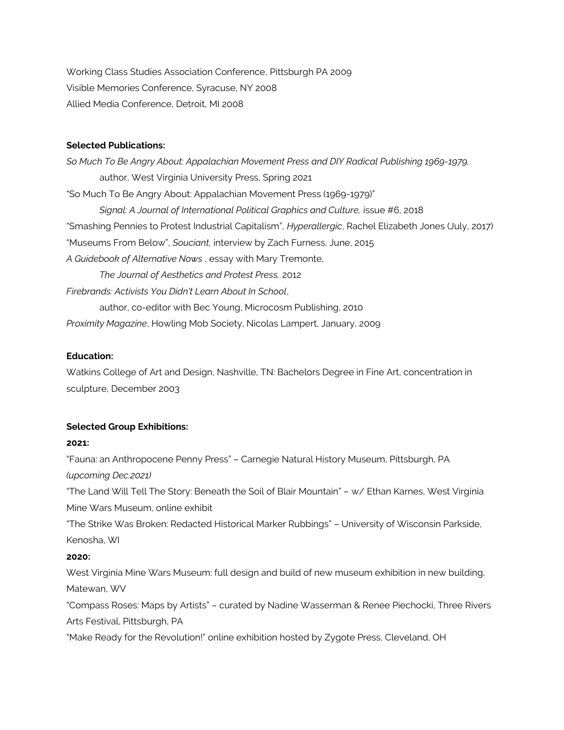Working Class Studies Association Conference, Pittsburgh PA 2009 Visible Memories Conference, Syracuse, NY 2008 Allied Media Conference, Detroit, MI 2008

#### **Selected Publications:**

*So Much To Be Angry About: Appalachian Movement Press and DIY Radical Publishing 1969-1979,* author, West Virginia University Press, Spring 2021 "So Much To Be Angry About: Appalachian Movement Press (1969-1979)" *Signal: A Journal of International Political Graphics and Culture,* issue #6, 2018 "Smashing Pennies to Protest Industrial Capitalism", *Hyperallergic*, Rachel Elizabeth Jones (July, 2017) "Museums From Below", *Souciant,* interview by Zach Furness, June, 2015 *A Guidebook of Alternative Nows* , essay with Mary Tremonte, *The Journal of Aesthetics and Protest Press,* 2012 *Firebrands: Activists You Didn't Learn About In School*, author, co-editor with Bec Young, Microcosm Publishing, 2010 *Proximity Magazine*, Howling Mob Society, Nicolas Lampert, January, 2009

#### **Education:**

Watkins College of Art and Design, Nashville, TN: Bachelors Degree in Fine Art, concentration in sculpture, December 2003

#### **Selected Group Exhibitions:**

#### **2021:**

"Fauna: an Anthropocene Penny Press" – Carnegie Natural History Museum, Pittsburgh, PA *(upcoming Dec.2021)*

"The Land Will Tell The Story: Beneath the Soil of Blair Mountain" – w/ Ethan Karnes, West Virginia Mine Wars Museum, online exhibit

"The Strike Was Broken: Redacted Historical Marker Rubbings" – University of Wisconsin Parkside, Kenosha, WI

#### **2020:**

West Virginia Mine Wars Museum: full design and build of new museum exhibition in new building, Matewan, WV

"Compass Roses: Maps by Artists" – curated by Nadine Wasserman & Renee Piechocki, Three Rivers Arts Festival, Pittsburgh, PA

"Make Ready for the Revolution!" online exhibition hosted by Zygote Press, Cleveland, OH